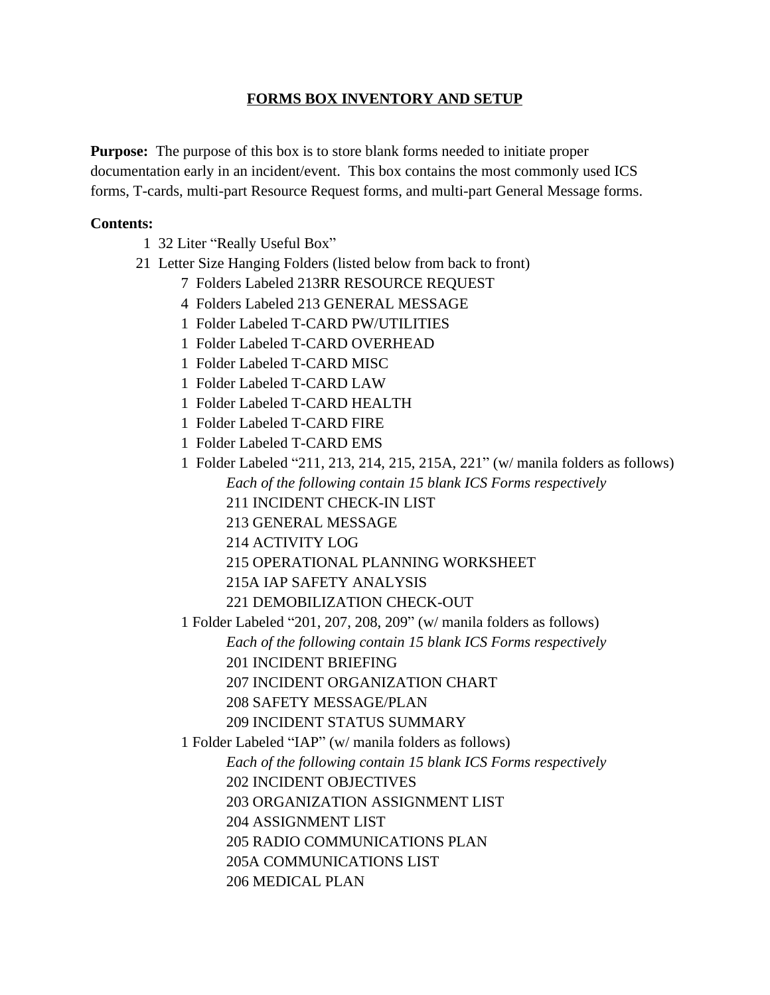## **FORMS BOX INVENTORY AND SETUP**

**Purpose:** The purpose of this box is to store blank forms needed to initiate proper documentation early in an incident/event. This box contains the most commonly used ICS forms, T-cards, multi-part Resource Request forms, and multi-part General Message forms.

## **Contents:**

- 1 32 Liter "Really Useful Box"
- 21 Letter Size Hanging Folders (listed below from back to front)
	- 7 Folders Labeled 213RR RESOURCE REQUEST
	- 4 Folders Labeled 213 GENERAL MESSAGE
	- 1 Folder Labeled T-CARD PW/UTILITIES
	- 1 Folder Labeled T-CARD OVERHEAD
	- 1 Folder Labeled T-CARD MISC
	- 1 Folder Labeled T-CARD LAW
	- 1 Folder Labeled T-CARD HEALTH
	- 1 Folder Labeled T-CARD FIRE
	- 1 Folder Labeled T-CARD EMS
	- 1 Folder Labeled "211, 213, 214, 215, 215A, 221" (w/ manila folders as follows) *Each of the following contain 15 blank ICS Forms respectively* 211 INCIDENT CHECK-IN LIST
		- 213 GENERAL MESSAGE
		- 214 ACTIVITY LOG
		- 215 OPERATIONAL PLANNING WORKSHEET
		- 215A IAP SAFETY ANALYSIS

221 DEMOBILIZATION CHECK-OUT

1 Folder Labeled "201, 207, 208, 209" (w/ manila folders as follows) *Each of the following contain 15 blank ICS Forms respectively* 201 INCIDENT BRIEFING

207 INCIDENT ORGANIZATION CHART

208 SAFETY MESSAGE/PLAN

209 INCIDENT STATUS SUMMARY

1 Folder Labeled "IAP" (w/ manila folders as follows)

*Each of the following contain 15 blank ICS Forms respectively*

- 202 INCIDENT OBJECTIVES
- 203 ORGANIZATION ASSIGNMENT LIST
- 204 ASSIGNMENT LIST

205 RADIO COMMUNICATIONS PLAN

- 205A COMMUNICATIONS LIST
- 206 MEDICAL PLAN